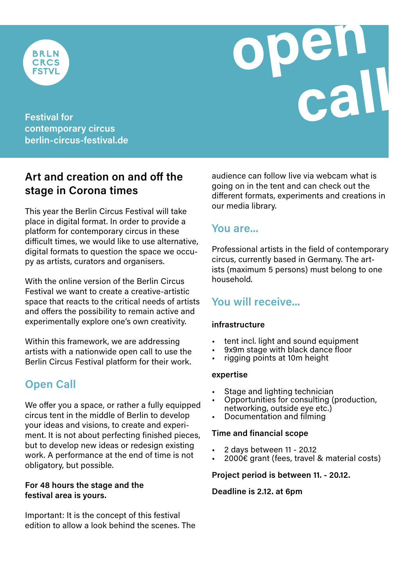

**open FSTVL**<br> **Festival for**<br> **contemporary circus** 

**contemporary circus berlin-circus-festival.de**

## **Art and creation on and off the stage in Corona times**

This year the Berlin Circus Festival will take place in digital format. In order to provide a platform for contemporary circus in these difficult times, we would like to use alternative, digital formats to question the space we occupy as artists, curators and organisers.

With the online version of the Berlin Circus Festival we want to create a creative-artistic space that reacts to the critical needs of artists and offers the possibility to remain active and experimentally explore one's own creativity.

Within this framework, we are addressing artists with a nationwide open call to use the Berlin Circus Festival platform for their work.

# **Open Call**

We offer you a space, or rather a fully equipped circus tent in the middle of Berlin to develop your ideas and visions, to create and experiment. It is not about perfecting finished pieces, but to develop new ideas or redesign existing work. A performance at the end of time is not obligatory, but possible.

#### **For 48 hours the stage and the festival area is yours.**

Important: It is the concept of this festival edition to allow a look behind the scenes. The

audience can follow live via webcam what is going on in the tent and can check out the different formats, experiments and creations in our media library.

## **You are...**

Professional artists in the field of contemporary circus, currently based in Germany. The artists (maximum 5 persons) must belong to one household.

## **You will receive...**

#### **infrastructure**

- tent incl. light and sound equipment
- 9x9m stage with black dance floor
- rigging points at 10m height

#### **expertise**

- Stage and lighting technician
- Opportunities for consulting (production, networking, outside eye etc.)
- Documentation and filming

#### **Time and financial scope**

- 2 days between 11 20.12
- 2000€ grant (fees, travel & material costs)

#### **Project period is between 11. - 20.12.**

#### **Deadline is 2.12. at 6pm**